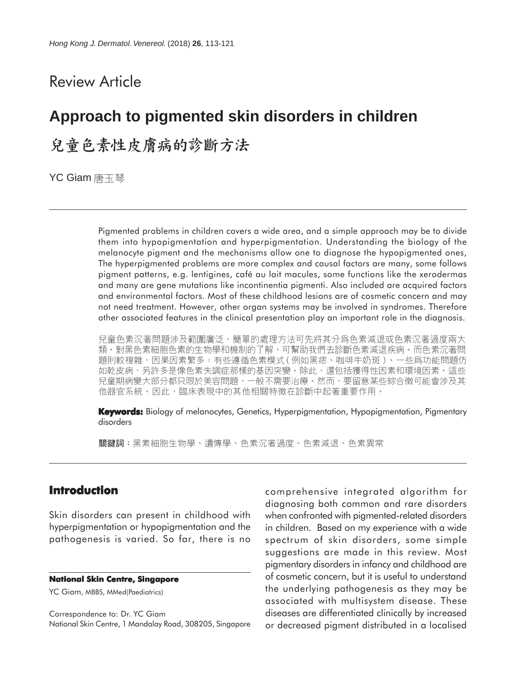## Review Article

# **Approach to pigmented skin disorders in children**

## 兒童色素性皮膚病的診斷方法

YC Giam 唐玉琴

Pigmented problems in children covers a wide area, and a simple approach may be to divide them into hypopigmentation and hyperpigmentation. Understanding the biology of the melanocyte pigment and the mechanisms allow one to diagnose the hypopigmented ones, The hyperpigmented problems are more complex and causal factors are many, some follows pigment patterns, e.g. lentigines, café au lait macules, some functions like the xerodermas and many are gene mutations like incontinentia pigmenti. Also included are acquired factors and environmental factors. Most of these childhood lesions are of cosmetic concern and may not need treatment. However, other organ systems may be involved in syndromes. Therefore other associated features in the clinical presentation play an important role in the diagnosis.

兒童色素沉著問題涉及範圍廣泛,簡單的處理方法可先將其分爲色素減退或色素沉著過度兩大 類。對黑色素細胞色素的生物學和機制的了解,可幫助我們去診斷色素減退疾病。而色素沉著問 題則較複雜,因果因素繁多:有些遵循色素模式(例如黑痣、咖啡牛奶斑)、一些爲功能問題仿 如乾皮病,另許多是像色素失調症那樣的基因突變。除此,還包括獲得性因素和環境因素。這些 兒童期病變大部分都只限於美容問題,一般不需要治療。然而,要留意某些綜合徵可能會涉及其 他器官系統。因此,臨床表現中的其他相關特徵在診斷中起著重要作用。

**Keywords:** Biology of melanocytes, Genetics, Hyperpigmentation, Hypopigmentation, Pigmentary disorders

關鍵詞:黑素細胞生物學、遺傳學、色素沉著過度、色素減退、色素異常

## **Introduction**

Skin disorders can present in childhood with hyperpigmentation or hypopigmentation and the pathogenesis is varied. So far, there is no

#### **National Skin Centre, Singapore**

YC Giam, MBBS, MMed(Paediatrics)

Correspondence to: Dr. YC Giam National Skin Centre, 1 Mandalay Road, 308205, Singapore comprehensive integrated algorithm for diagnosing both common and rare disorders when confronted with pigmented-related disorders in children. Based on my experience with a wide spectrum of skin disorders, some simple suggestions are made in this review. Most pigmentary disorders in infancy and childhood are of cosmetic concern, but it is useful to understand the underlying pathogenesis as they may be associated with multisystem disease. These diseases are differentiated clinically by increased or decreased pigment distributed in a localised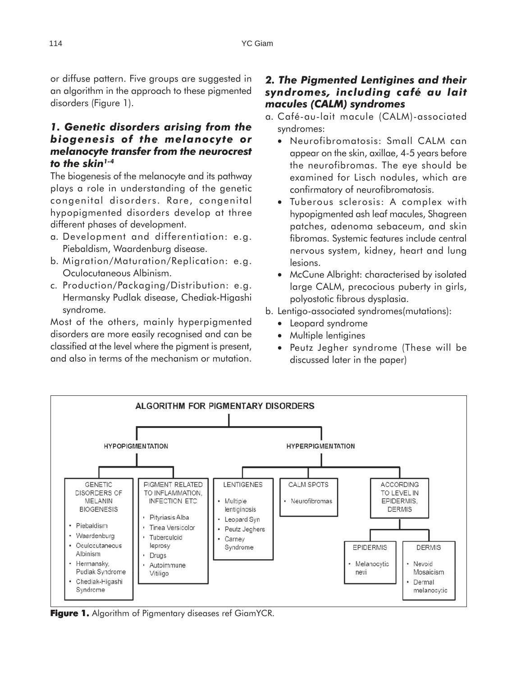or diffuse pattern. Five groups are suggested in an algorithm in the approach to these pigmented disorders (Figure 1).

## *1. Genetic disorders arising from the biogenesis of the melanocyte or melanocyte transfer from the neurocrest to the skin1-4*

The biogenesis of the melanocyte and its pathway plays a role in understanding of the genetic congenital disorders. Rare, congenital hypopigmented disorders develop at three different phases of development.

- a. Development and differentiation: e.g. Piebaldism, Waardenburg disease.
- b. Migration/Maturation/Replication: e.g. Oculocutaneous Albinism.
- c. Production/Packaging/Distribution: e.g. Hermansky Pudlak disease, Chediak-Higashi syndrome.

Most of the others, mainly hyperpigmented disorders are more easily recognised and can be classified at the level where the pigment is present, and also in terms of the mechanism or mutation.

## *2. The Pigmented Lentigines and their syndromes, including café au lait macules (CALM) syndromes*

- a. Café-au-lait macule (CALM)-associated syndromes:
	- Neurofibromatosis: Small CALM can appear on the skin, axillae, 4-5 years before the neurofibromas. The eye should be examined for Lisch nodules, which are confirmatory of neurofibromatosis.
	- Tuberous sclerosis: A complex with hypopigmented ash leaf macules, Shagreen patches, adenoma sebaceum, and skin fibromas. Systemic features include central nervous system, kidney, heart and lung lesions.
	- McCune Albright: characterised by isolated large CALM, precocious puberty in girls, polyostotic fibrous dysplasia.
- b. Lentigo-associated syndromes(mutations):
	- Leopard syndrome
	- Multiple lentigines
	- Peutz Jegher syndrome (These will be discussed later in the paper)



Figure 1. Algorithm of Pigmentary diseases ref GiamYCR.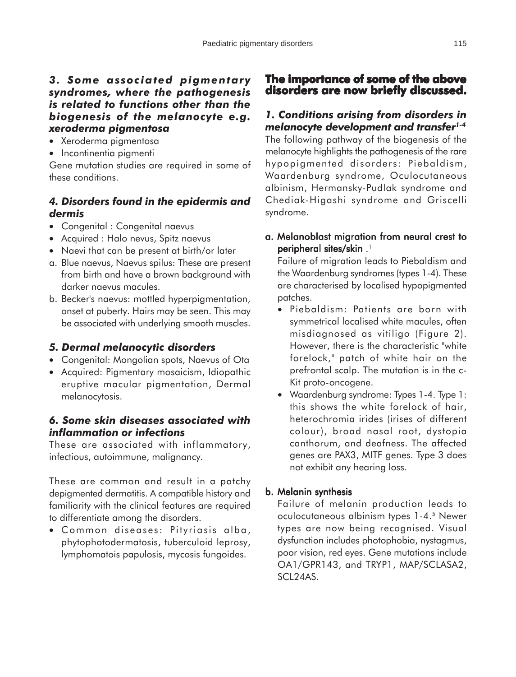### *3. Some associated pigmentary syndromes, where the pathogenesis is related to functions other than the biogenesis of the melanocyte e.g. xeroderma pigmentosa*

- Xeroderma pigmentosa
- Incontinentia piamenti

Gene mutation studies are required in some of these conditions.

## *4. Disorders found in the epidermis and dermis*

- Congenital : Congenital naevus
- Acquired : Halo nevus, Spitz naevus
- Naevi that can be present at birth/or later
- a. Blue naevus, Naevus spilus: These are present from birth and have a brown background with darker naevus macules.
- b. Becker's naevus: mottled hyperpigmentation, onset at puberty. Hairs may be seen. This may be associated with underlying smooth muscles.

## *5. Dermal melanocytic disorders*

- Congenital: Mongolian spots, Naevus of Ota
- Acquired: Pigmentary mosaicism, Idiopathic eruptive macular pigmentation, Dermal melanocytosis.

## *6. Some skin diseases associated with inflammation or infections*

These are associated with inflammatory, infectious, autoimmune, malignancy.

These are common and result in a patchy depigmented dermatitis. A compatible history and familiarity with the clinical features are required to differentiate among the disorders.

• Common diseases: Pityriasis alba, phytophotodermatosis, tuberculoid leprosy, lymphomatois papulosis, mycosis fungoides.

## **The importance of some of the above disorders are now briefly discussed. briefly discussed.**

## *1. Conditions arising from disorders in melanocyte development and transfer1-4*

The following pathway of the biogenesis of the melanocyte highlights the pathogenesis of the rare hypopigmented disorders: Piebaldism, Waardenburg syndrome, Oculocutaneous albinism, Hermansky-Pudlak syndrome and Chediak-Higashi syndrome and Griscelli syndrome.

a. Melanoblast migration from neural crest to peripheral sites/skin . 1

Failure of migration leads to Piebaldism and the Waardenburg syndromes (types 1-4). These are characterised by localised hypopigmented patches.

- Piebaldism: Patients are born with symmetrical localised white macules, often misdiagnosed as vitiligo (Figure 2). However, there is the characteristic "white forelock," patch of white hair on the prefrontal scalp. The mutation is in the c-Kit proto-oncogene.
- Waardenburg syndrome: Types 1-4. Type 1: this shows the white forelock of hair, heterochromia irides (irises of different colour), broad nasal root, dystopia canthorum, and deafness. The affected genes are PAX3, MITF genes. Type 3 does not exhibit any hearing loss.

### b. Melanin synthesis

Failure of melanin production leads to oculocutaneous albinism types 1-4.5 Newer types are now being recognised. Visual dysfunction includes photophobia, nystagmus, poor vision, red eyes. Gene mutations include OA1/GPR143, and TRYP1, MAP/SCLASA2, SCL24AS.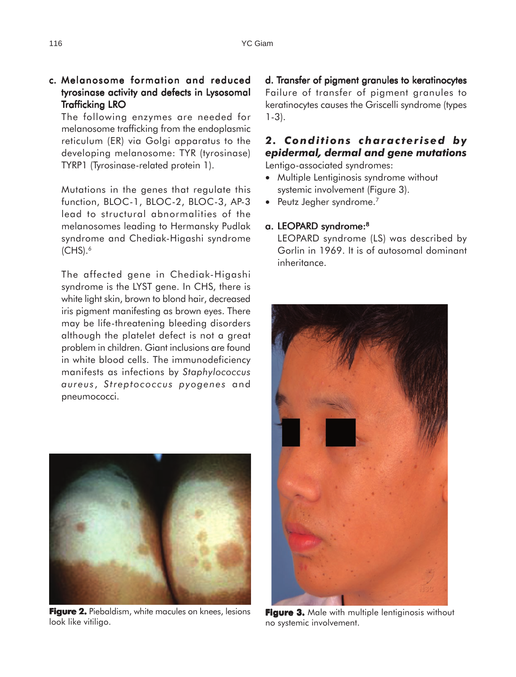## c. Melanosome formation and reduced tyrosinase activity and defects in Lysosomal Trafficking LRO

The following enzymes are needed for melanosome trafficking from the endoplasmic reticulum (ER) via Golgi apparatus to the developing melanosome: TYR (tyrosinase) TYRP1 (Tyrosinase-related protein 1).

Mutations in the genes that regulate this function, BLOC-1, BLOC-2, BLOC-3, AP-3 lead to structural abnormalities of the melanosomes leading to Hermansky Pudlak syndrome and Chediak-Higashi syndrome  $(CHS).<sup>6</sup>$ 

The affected gene in Chediak-Higashi syndrome is the LYST gene. In CHS, there is white light skin, brown to blond hair, decreased iris pigment manifesting as brown eyes. There may be life-threatening bleeding disorders although the platelet defect is not a great problem in children. Giant inclusions are found in white blood cells. The immunodeficiency manifests as infections by *Staphylococcus aureus* , *Streptococcus pyogenes* and pneumococci.



**Figure 2.** Piebaldism, white macules on knees, lesions look like vitiligo.

d. Transfer of pigment granules to keratinocytes Failure of transfer of pigment granules to keratinocytes causes the Griscelli syndrome (types 1-3).

## *2. Conditions characterised by epidermal, dermal and gene mutations*

Lentigo-associated syndromes:

- Multiple Lentiginosis syndrome without systemic involvement (Figure 3).
- Peutz Jegher syndrome.<sup>7</sup>

#### a. LEOPARD syndrome:<sup>8</sup>

LEOPARD syndrome (LS) was described by Gorlin in 1969. It is of autosomal dominant inheritance.



**Figure 3.** Male with multiple lentiginosis without no systemic involvement.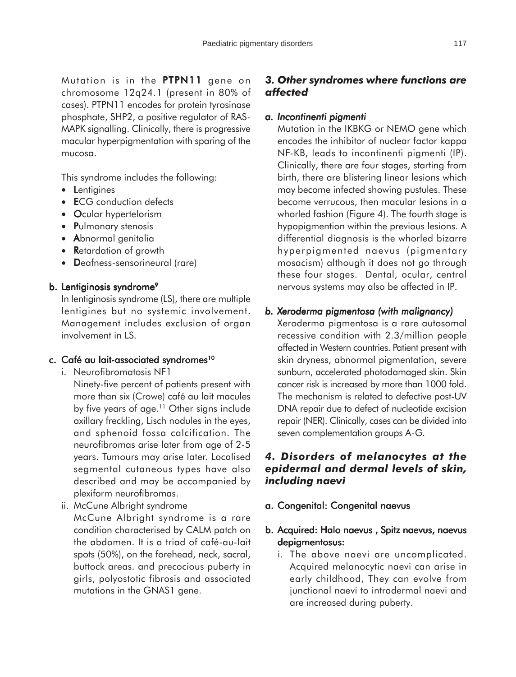Mutation is in the  $PTPN11$  gene on chromosome 12q24.1 (present in 80% of cases). PTPN11 encodes for protein tyrosinase phosphate, SHP2, a positive regulator of RAS-MAPK signalling. Clinically, there is progressive macular hyperpigmentation with sparing of the mucosa.

This syndrome includes the following:

- Lentigines
- ECG conduction defects
- Ocular hypertelorism
- Pulmonary stenosis
- Abnormal genitalia
- Retardation of growth
- Deafness-sensorineural (rare)

#### b. Lentiginosis syndrome<sup>9</sup>

In lentiginosis syndrome (LS), there are multiple lentigines but no systemic involvement. Management includes exclusion of organ involvement in LS.

#### c. Café au lait-associated syndromes<sup>10</sup>

- i. Neurofibromatosis NF1
	- Ninety-five percent of patients present with more than six (Crowe) café au lait macules by five years of age.<sup>11</sup> Other signs include axillary freckling, Lisch nodules in the eyes, and sphenoid fossa calcification. The neurofibromas arise later from age of 2-5 years. Tumours may arise later. Localised segmental cutaneous types have also described and may be accompanied by plexiform neurofibromas.
- ii. McCune Albright syndrome

McCune Albright syndrome is a rare condition characterised by CALM patch on the abdomen. It is a triad of café-au-lait spots (50%), on the forehead, neck, sacral, buttock areas. and precocious puberty in girls, polyostotic fibrosis and associated mutations in the GNAS1 gene.

## *3. Other syndromes where functions are affected*

#### *a. Incontinenti pigmenti pigmenti*

Mutation in the IKBKG or NEMO gene which encodes the inhibitor of nuclear factor kappa NF-KB, leads to incontinenti pigmenti (IP). Clinically, there are four stages, starting from birth, there are blistering linear lesions which may become infected showing pustules. These become verrucous, then macular lesions in a whorled fashion (Figure 4). The fourth stage is hypopigmention within the previous lesions. A differential diagnosis is the whorled bizarre hyperpigmented naevus (pigmentary mosacism) although it does not go through these four stages. Dental, ocular, central nervous systems may also be affected in IP.

## *b. Xeroderma pigmentosa (with malignancy) malignancy)*

Xeroderma pigmentosa is a rare autosomal recessive condition with 2.3/million people affected in Western countries. Patient present with skin dryness, abnormal pigmentation, severe sunburn, accelerated photodamaged skin. Skin cancer risk is increased by more than 1000 fold. The mechanism is related to defective post-UV DNA repair due to defect of nucleotide excision repair (NER). Clinically, cases can be divided into seven complementation groups A-G.

## *4. Disorders of melanocytes at the epidermal and dermal levels of skin, including naevi*

a. Congenital: Congenital naevus

## b. Acquired: Halo naevus , Spitz naevus, naevus depigmentosus:

i. The above naevi are uncomplicated. Acquired melanocytic naevi can arise in early childhood, They can evolve from junctional naevi to intradermal naevi and are increased during puberty.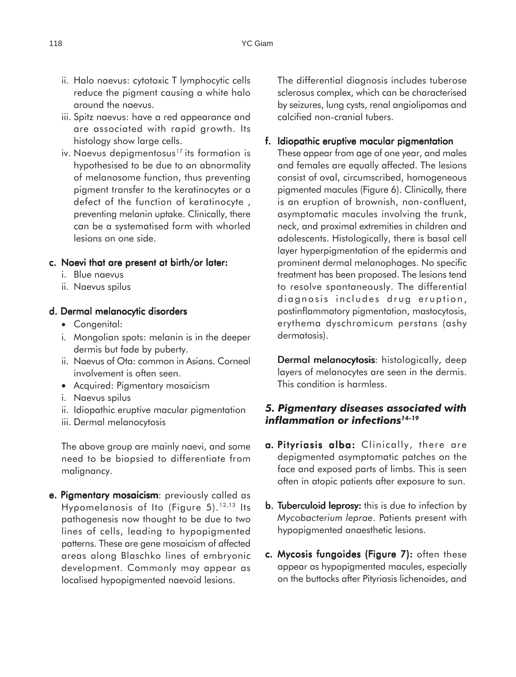- ii. Halo naevus: cytotoxic T lymphocytic cells reduce the pigment causing a white halo around the naevus.
- iii. Spitz naevus: have a red appearance and are associated with rapid growth. Its histology show large cells.
- iv. Naevus depigmentosus<sup>17</sup> its formation is hypothesised to be due to an abnormality of melanosome function, thus preventing pigment transfer to the keratinocytes or a defect of the function of keratinocyte , preventing melanin uptake. Clinically, there can be a systematised form with whorled lesions on one side.

#### c. Naevi that are present at birth/or later:

- i. Blue naevus
- ii. Naevus spilus

#### d. Dermal melanocytic disorders

- Congenital:
- i. Mongolian spots: melanin is in the deeper dermis but fade by puberty.
- ii. Naevus of Ota: common in Asians. Corneal involvement is often seen.
- Acquired: Pigmentary mosaicism
- i. Naevus spilus
- ii. Idiopathic eruptive macular pigmentation
- iii. Dermal melanocytosis

The above group are mainly naevi, and some need to be biopsied to differentiate from malignancy.

e. Pigmentary mosaicism: previously called as Hypomelanosis of Ito (Figure 5).12,13 Its pathogenesis now thought to be due to two lines of cells, leading to hypopigmented patterns. These are gene mosaicism of affected areas along Blaschko lines of embryonic development. Commonly may appear as localised hypopigmented naevoid lesions.

The differential diagnosis includes tuberose sclerosus complex, which can be characterised by seizures, lung cysts, renal angiolipomas and calcified non-cranial tubers.

#### f. Idiopathic eruptive macular pigmentation

These appear from age of one year, and males and females are equally affected. The lesions consist of oval, circumscribed, homogeneous pigmented macules (Figure 6). Clinically, there is an eruption of brownish, non-confluent, asymptomatic macules involving the trunk, neck, and proximal extremities in children and adolescents. Histologically, there is basal cell layer hyperpigmentation of the epidermis and prominent dermal melanophages. No specific treatment has been proposed. The lesions tend to resolve spontaneously. The differential diagnosis includes drug eruption, postinflammatory pigmentation, mastocytosis, erythema dyschromicum perstans (ashy dermatosis).

Dermal melanocytosis: histologically, deep layers of melanocytes are seen in the dermis. This condition is harmless.

### *5. Pigmentary diseases associated with inflammation or infections14-19*

- a. Pityriasis alba: Clinically, there are depigmented asymptomatic patches on the face and exposed parts of limbs. This is seen often in atopic patients after exposure to sun.
- **b. Tuberculoid leprosy:** this is due to infection by *Mycobacterium leprae*. Patients present with hypopigmented anaesthetic lesions.
- c. Mycosis fungoides (Figure 7): often these appear as hypopigmented macules, especially on the buttocks after Pityriasis lichenoides, and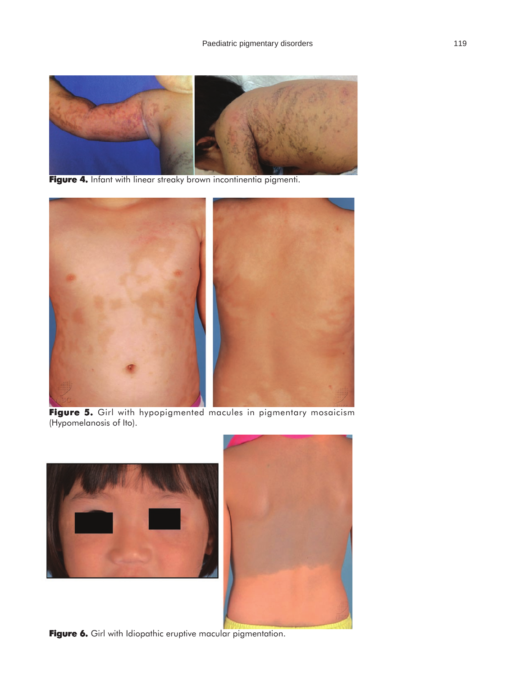

Figure 4. Infant with linear streaky brown incontinentia pigmenti.



Figure 5. Girl with hypopigmented macules in pigmentary mosaicism (Hypomelanosis of Ito).



**Figure 6.** Girl with Idiopathic eruptive macular pigmentation.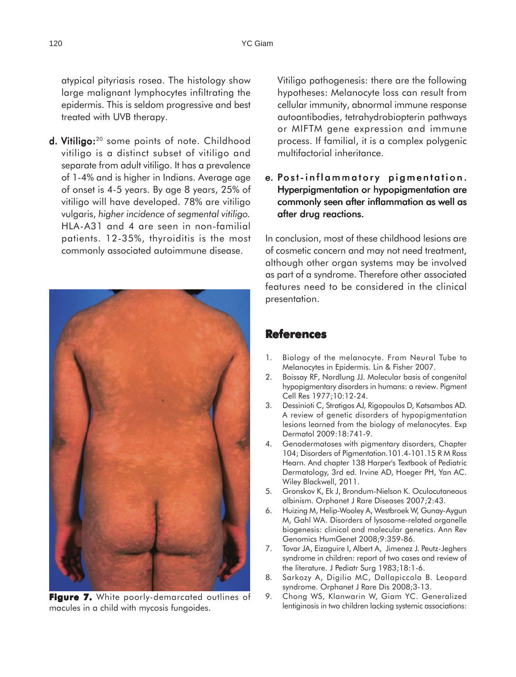atypical pityriasis rosea. The histology show large malignant lymphocytes infiltrating the epidermis. This is seldom progressive and best treated with UVB therapy.

d. Vitiligo:<sup>20</sup> some points of note. Childhood vitiligo is a distinct subset of vitiligo and separate from adult vitiligo. It has a prevalence of 1-4% and is higher in Indians. Average age of onset is 4-5 years. By age 8 years, 25% of vitiligo will have developed. 78% are vitiligo vulgaris, *higher incidence of segmental vitiligo.* HLA-A31 and 4 are seen in non-familial patients. 12-35%, thyroiditis is the most commonly associated autoimmune disease.



**Figure 7.** White poorly-demarcated outlines of macules in a child with mycosis fungoides.

Vitiligo pathogenesis: there are the following hypotheses: Melanocyte loss can result from cellular immunity, abnormal immune response autoantibodies, tetrahydrobiopterin pathways or MIFTM gene expression and immune process. If familial, it is a complex polygenic multifactorial inheritance.

#### e. Post-inflammatory pigmentation. Hyperpigmentation or hypopigmentation are commonly seen after inflammation as well as after drug reactions.

In conclusion, most of these childhood lesions are of cosmetic concern and may not need treatment, although other organ systems may be involved as part of a syndrome. Therefore other associated features need to be considered in the clinical presentation.

## **References**

- 1. Biology of the melanocyte. From Neural Tube to Melanocytes in Epidermis. Lin & Fisher 2007.
- 2. Boissay RF, Nordlung JJ. Molecular basis of congenital hypopigmentary disorders in humans: a review. Pigment Cell Res 1977;10:12-24.
- 3. Dessinioti C, Stratigos AJ, Rigopoulos D, Katsambas AD. A review of genetic disorders of hypopigmentation lesions learned from the biology of melanocytes. Exp Dermatol 2009:18:741-9.
- 4. Genodermatoses with pigmentary disorders, Chapter 104; Disorders of Pigmentation.101.4-101.15 R M Ross Hearn. And chapter 138 Harper's Textbook of Pediatric Dermatology, 3rd ed. Irvine AD, Hoeger PH, Yan AC. Wiley Blackwell, 2011.
- 5. Gronskov K, Ek J, Brondum-Nielson K. Oculocutaneous albinism. Orphanet J Rare Diseases 2007;2:43.
- 6. Huizing M, Helip-Wooley A, Westbroek W, Gunay-Aygun M, Gahl WA. Disorders of lysosome-related organelle biogenesis: clinical and molecular genetics. Ann Rev Genomics HumGenet 2008;9:359-86.
- 7. Tovar JA, Eizaguire I, Albert A, Jimenez J. Peutz-Jeghers syndrome in children: report of two cases and review of the literature. J Pediatr Surg 1983;18:1-6.
- 8. Sarkozy A, Digilio MC, Dallapiccola B. Leopard syndrome. Orphanet J Rare Dis 2008;3-13.
- 9. Chong WS, Klanwarin W, Giam YC. Generalized lentiginosis in two children lacking systemic associations: